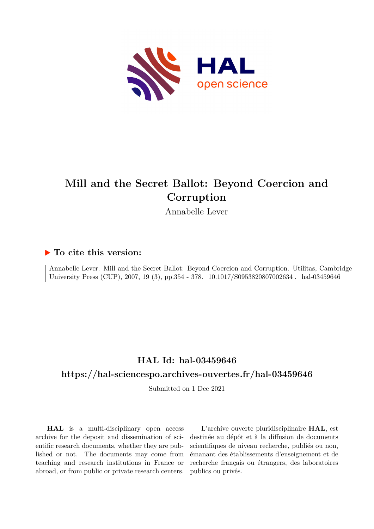

# **Mill and the Secret Ballot: Beyond Coercion and Corruption**

Annabelle Lever

## **To cite this version:**

Annabelle Lever. Mill and the Secret Ballot: Beyond Coercion and Corruption. Utilitas, Cambridge University Press (CUP), 2007, 19 (3), pp.354 - 378. 10.1017/S0953820807002634. hal-03459646

## **HAL Id: hal-03459646 <https://hal-sciencespo.archives-ouvertes.fr/hal-03459646>**

Submitted on 1 Dec 2021

**HAL** is a multi-disciplinary open access archive for the deposit and dissemination of scientific research documents, whether they are published or not. The documents may come from teaching and research institutions in France or abroad, or from public or private research centers.

L'archive ouverte pluridisciplinaire **HAL**, est destinée au dépôt et à la diffusion de documents scientifiques de niveau recherche, publiés ou non, émanant des établissements d'enseignement et de recherche français ou étrangers, des laboratoires publics ou privés.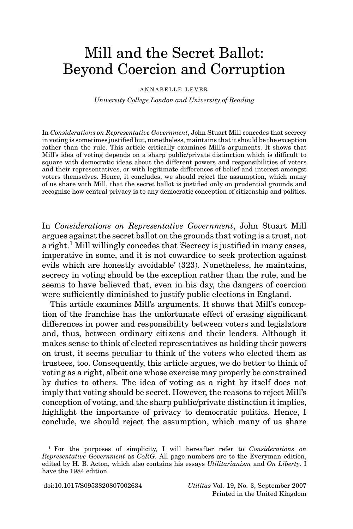## Mill and the Secret Ballot: Beyond Coercion and Corruption

#### ANNABELLE LEVER

*University College London and University of Reading*

In *Considerations on Representative Government*, John Stuart Mill concedes that secrecy in voting is sometimes justified but, nonetheless, maintains that it should be the exception rather than the rule. This article critically examines Mill's arguments. It shows that Mill's idea of voting depends on a sharp public/private distinction which is difficult to square with democratic ideas about the different powers and responsibilities of voters and their representatives, or with legitimate differences of belief and interest amongst voters themselves. Hence, it concludes, we should reject the assumption, which many of us share with Mill, that the secret ballot is justified only on prudential grounds and recognize how central privacy is to any democratic conception of citizenship and politics.

In *Considerations on Representative Government*, John Stuart Mill argues against the secret ballot on the grounds that voting is a trust, not a right.<sup>1</sup> Mill willingly concedes that 'Secrecy is justified in many cases, imperative in some, and it is not cowardice to seek protection against evils which are honestly avoidable' (323). Nonetheless, he maintains, secrecy in voting should be the exception rather than the rule, and he seems to have believed that, even in his day, the dangers of coercion were sufficiently diminished to justify public elections in England.

This article examines Mill's arguments. It shows that Mill's conception of the franchise has the unfortunate effect of erasing significant differences in power and responsibility between voters and legislators and, thus, between ordinary citizens and their leaders. Although it makes sense to think of elected representatives as holding their powers on trust, it seems peculiar to think of the voters who elected them as trustees, too. Consequently, this article argues, we do better to think of voting as a right, albeit one whose exercise may properly be constrained by duties to others. The idea of voting as a right by itself does not imply that voting should be secret. However, the reasons to reject Mill's conception of voting, and the sharp public/private distinction it implies, highlight the importance of privacy to democratic politics. Hence, I conclude, we should reject the assumption, which many of us share

doi:10.1017/S0953820807002634 *Utilitas* Vol. 19, No. 3, September 2007 Printed in the United Kingdom

<sup>1</sup> For the purposes of simplicity, I will hereafter refer to *Considerations on Representative Government* as *CoRG*. All page numbers are to the Everyman edition, edited by H. B. Acton, which also contains his essays *Utilitarianism* and *On Liberty*. I have the 1984 edition.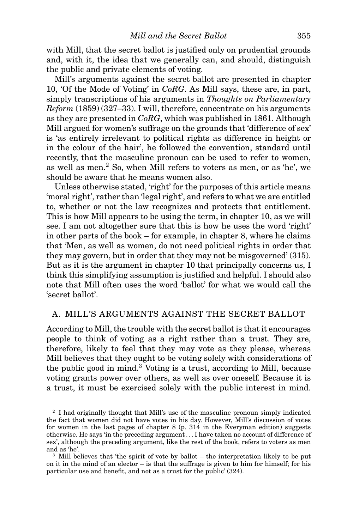with Mill, that the secret ballot is justified only on prudential grounds and, with it, the idea that we generally can, and should, distinguish the public and private elements of voting.

Mill's arguments against the secret ballot are presented in chapter 10, 'Of the Mode of Voting' in *CoRG*. As Mill says, these are, in part, simply transcriptions of his arguments in *Thoughts on Parliamentary Reform* (1859) (327–33). I will, therefore, concentrate on his arguments as they are presented in *CoRG*, which was published in 1861. Although Mill argued for women's suffrage on the grounds that 'difference of sex' is 'as entirely irrelevant to political rights as difference in height or in the colour of the hair', he followed the convention, standard until recently, that the masculine pronoun can be used to refer to women, as well as men.2 So, when Mill refers to voters as men, or as 'he', we should be aware that he means women also.

Unless otherwise stated, 'right' for the purposes of this article means 'moral right', rather than 'legal right', and refers to what we are entitled to, whether or not the law recognizes and protects that entitlement. This is how Mill appears to be using the term, in chapter 10, as we will see. I am not altogether sure that this is how he uses the word 'right' in other parts of the book – for example, in chapter 8, where he claims that 'Men, as well as women, do not need political rights in order that they may govern, but in order that they may not be misgoverned' (315). But as it is the argument in chapter 10 that principally concerns us, I think this simplifying assumption is justified and helpful. I should also note that Mill often uses the word 'ballot' for what we would call the 'secret ballot'.

## A. MILL'S ARGUMENTS AGAINST THE SECRET BALLOT

According to Mill, the trouble with the secret ballot is that it encourages people to think of voting as a right rather than a trust. They are, therefore, likely to feel that they may vote as they please, whereas Mill believes that they ought to be voting solely with considerations of the public good in mind.<sup>3</sup> Voting is a trust, according to Mill, because voting grants power over others, as well as over oneself. Because it is a trust, it must be exercised solely with the public interest in mind.

<sup>&</sup>lt;sup>2</sup> I had originally thought that Mill's use of the masculine pronoun simply indicated the fact that women did not have votes in his day. However, Mill's discussion of votes for women in the last pages of chapter 8 (p. 314 in the Everyman edition) suggests otherwise. He says 'in the preceding argument*...* I have taken no account of difference of sex', although the preceding argument, like the rest of the book, refers to voters as men and as 'he'.

<sup>3</sup> Mill believes that 'the spirit of vote by ballot – the interpretation likely to be put on it in the mind of an elector – is that the suffrage is given to him for himself; for his particular use and benefit, and not as a trust for the public' (324).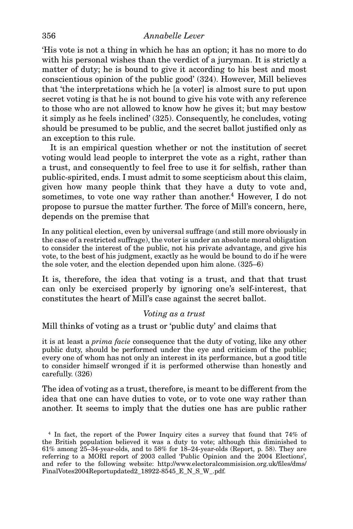## 356 *Annabelle Lever*

'His vote is not a thing in which he has an option; it has no more to do with his personal wishes than the verdict of a juryman. It is strictly a matter of duty; he is bound to give it according to his best and most conscientious opinion of the public good' (324). However, Mill believes that 'the interpretations which he [a voter] is almost sure to put upon secret voting is that he is not bound to give his vote with any reference to those who are not allowed to know how he gives it; but may bestow it simply as he feels inclined' (325). Consequently, he concludes, voting should be presumed to be public, and the secret ballot justified only as an exception to this rule.

It is an empirical question whether or not the institution of secret voting would lead people to interpret the vote as a right, rather than a trust, and consequently to feel free to use it for selfish, rather than public-spirited, ends. I must admit to some scepticism about this claim, given how many people think that they have a duty to vote and, sometimes, to vote one way rather than another.<sup>4</sup> However, I do not propose to pursue the matter further. The force of Mill's concern, here, depends on the premise that

In any political election, even by universal suffrage (and still more obviously in the case of a restricted suffrage), the voter is under an absolute moral obligation to consider the interest of the public, not his private advantage, and give his vote, to the best of his judgment, exactly as he would be bound to do if he were the sole voter, and the election depended upon him alone. (325–6)

It is, therefore, the idea that voting is a trust, and that that trust can only be exercised properly by ignoring one's self-interest, that constitutes the heart of Mill's case against the secret ballot.

#### *Voting as a trust*

## Mill thinks of voting as a trust or 'public duty' and claims that

it is at least a *prima facie* consequence that the duty of voting, like any other public duty, should be performed under the eye and criticism of the public; every one of whom has not only an interest in its performance, but a good title to consider himself wronged if it is performed otherwise than honestly and carefully. (326)

The idea of voting as a trust, therefore, is meant to be different from the idea that one can have duties to vote, or to vote one way rather than another. It seems to imply that the duties one has are public rather

<sup>4</sup> In fact, the report of the Power Inquiry cites a survey that found that 74% of the British population believed it was a duty to vote; although this diminished to 61% among 25–34-year-olds, and to 58% for 18–24-year-olds (Report, p. 58). They are referring to a MORI report of 2003 called 'Public Opinion and the 2004 Elections', and refer to the following website: http://www.electoralcommisision.org.uk/files/dms/ FinalVotes2004Reportupdated2\_18922-8545\_E\_N\_S\_W\_.pdf.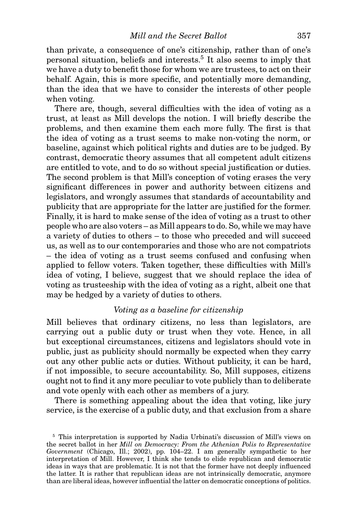than private, a consequence of one's citizenship, rather than of one's personal situation, beliefs and interests.<sup>5</sup> It also seems to imply that we have a duty to benefit those for whom we are trustees, to act on their behalf. Again, this is more specific, and potentially more demanding, than the idea that we have to consider the interests of other people when voting.

There are, though, several difficulties with the idea of voting as a trust, at least as Mill develops the notion. I will briefly describe the problems, and then examine them each more fully. The first is that the idea of voting as a trust seems to make non-voting the norm, or baseline, against which political rights and duties are to be judged. By contrast, democratic theory assumes that all competent adult citizens are entitled to vote, and to do so without special justification or duties. The second problem is that Mill's conception of voting erases the very significant differences in power and authority between citizens and legislators, and wrongly assumes that standards of accountability and publicity that are appropriate for the latter are justified for the former. Finally, it is hard to make sense of the idea of voting as a trust to other people who are also voters – as Mill appears to do. So, while we may have a variety of duties to others – to those who preceded and will succeed us, as well as to our contemporaries and those who are not compatriots – the idea of voting as a trust seems confused and confusing when applied to fellow voters. Taken together, these difficulties with Mill's idea of voting, I believe, suggest that we should replace the idea of voting as trusteeship with the idea of voting as a right, albeit one that may be hedged by a variety of duties to others.

#### *Voting as a baseline for citizenship*

Mill believes that ordinary citizens, no less than legislators, are carrying out a public duty or trust when they vote. Hence, in all but exceptional circumstances, citizens and legislators should vote in public, just as publicity should normally be expected when they carry out any other public acts or duties. Without publicity, it can be hard, if not impossible, to secure accountability. So, Mill supposes, citizens ought not to find it any more peculiar to vote publicly than to deliberate and vote openly with each other as members of a jury.

There is something appealing about the idea that voting, like jury service, is the exercise of a public duty, and that exclusion from a share

<sup>5</sup> This interpretation is supported by Nadia Urbinati's discussion of Mill's views on the secret ballot in her *Mill on Democracy: From the Athenian Polis to Representative Government* (Chicago, Ill.; 2002), pp. 104–22. I am generally sympathetic to her interpretation of Mill. However, I think she tends to elide republican and democratic ideas in ways that are problematic. It is not that the former have not deeply influenced the latter. It is rather that republican ideas are not intrinsically democratic, anymore than are liberal ideas, however influential the latter on democratic conceptions of politics.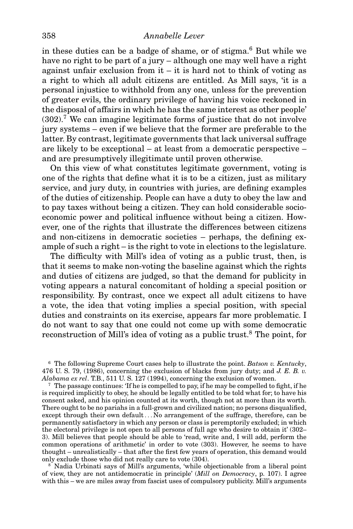#### 358 *Annabelle Lever*

in these duties can be a badge of shame, or of stigma.<sup>6</sup> But while we have no right to be part of a jury – although one may well have a right against unfair exclusion from  $it - it$  is hard not to think of voting as a right to which all adult citizens are entitled. As Mill says, 'it is a personal injustice to withhold from any one, unless for the prevention of greater evils, the ordinary privilege of having his voice reckoned in the disposal of affairs in which he has the same interest as other people'  $(302).<sup>7</sup>$  We can imagine legitimate forms of justice that do not involve jury systems – even if we believe that the former are preferable to the latter. By contrast, legitimate governments that lack universal suffrage are likely to be exceptional – at least from a democratic perspective – and are presumptively illegitimate until proven otherwise.

On this view of what constitutes legitimate government, voting is one of the rights that define what it is to be a citizen, just as military service, and jury duty, in countries with juries, are defining examples of the duties of citizenship. People can have a duty to obey the law and to pay taxes without being a citizen. They can hold considerable socioeconomic power and political influence without being a citizen. However, one of the rights that illustrate the differences between citizens and non-citizens in democratic societies – perhaps, the defining example of such a right – is the right to vote in elections to the legislature.

The difficulty with Mill's idea of voting as a public trust, then, is that it seems to make non-voting the baseline against which the rights and duties of citizens are judged, so that the demand for publicity in voting appears a natural concomitant of holding a special position or responsibility. By contrast, once we expect all adult citizens to have a vote, the idea that voting implies a special position, with special duties and constraints on its exercise, appears far more problematic. I do not want to say that one could not come up with some democratic reconstruction of Mill's idea of voting as a public trust.<sup>8</sup> The point, for

<sup>6</sup> The following Supreme Court cases help to illustrate the point. *Batson v. Kentucky*, 476 U. S. 79, (1986), concerning the exclusion of blacks from jury duty; and *J. E. B. v. Alabama ex rel*. T.B., 511 U. S. 127 (1994), concerning the exclusion of women.

 $7\text{ The passage continues: If he is compelled to pay, if he may be compelled to fight, if he$ is required implicitly to obey, he should be legally entitled to be told what for; to have his consent asked, and his opinion counted at its worth, though not at more than its worth. There ought to be no pariahs in a full-grown and civilized nation; no persons disqualified, except through their own default*...* No arrangement of the suffrage, therefore, can be permanently satisfactory in which any person or class is peremptorily excluded; in which the electoral privilege is not open to all persons of full age who desire to obtain it' (302– 3). Mill believes that people should be able to 'read, write and, I will add, perform the common operations of arithmetic' in order to vote (303). However, he seems to have thought – unrealistically – that after the first few years of operation, this demand would only exclude those who did not really care to vote (304).

<sup>8</sup> Nadia Urbinati says of Mill's arguments, 'while objectionable from a liberal point of view, they are not antidemocratic in principle' (*Mill on Democracy*, p. 107). I agree with this – we are miles away from fascist uses of compulsory publicity. Mill's arguments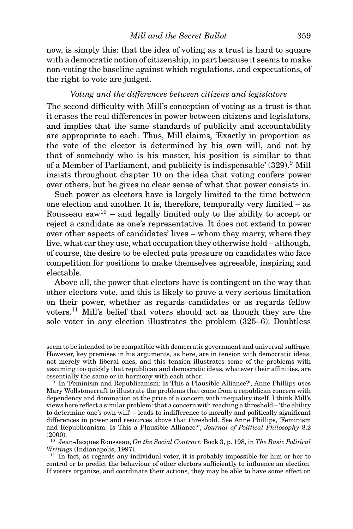now, is simply this: that the idea of voting as a trust is hard to square with a democratic notion of citizenship, in part because it seems to make non-voting the baseline against which regulations, and expectations, of the right to vote are judged.

## *Voting and the differences between citizens and legislators*

The second difficulty with Mill's conception of voting as a trust is that it erases the real differences in power between citizens and legislators, and implies that the same standards of publicity and accountability are appropriate to each. Thus, Mill claims, 'Exactly in proportion as the vote of the elector is determined by his own will, and not by that of somebody who is his master, his position is similar to that of a Member of Parliament, and publicity is indispensable'  $(329)$ .<sup>9</sup> Mill insists throughout chapter 10 on the idea that voting confers power over others, but he gives no clear sense of what that power consists in.

Such power as electors have is largely limited to the time between one election and another. It is, therefore, temporally very limited – as Rousseau saw<sup>10</sup> – and legally limited only to the ability to accept or reject a candidate as one's representative. It does not extend to power over other aspects of candidates' lives – whom they marry, where they live, what car they use, what occupation they otherwise hold – although, of course, the desire to be elected puts pressure on candidates who face competition for positions to make themselves agreeable, inspiring and electable.

Above all, the power that electors have is contingent on the way that other electors vote, and this is likely to prove a very serious limitation on their power, whether as regards candidates or as regards fellow voters.<sup>11</sup> Mill's belief that voters should act as though they are the sole voter in any election illustrates the problem (325–6). Doubtless

<sup>10</sup> Jean-Jacques Rousseau, *On the Social Contract*, Book 3, p. 198, in *The Basic Political Writings* (Indianapolis, 1997).

<sup>11</sup> In fact, as regards any individual voter, it is probably impossible for him or her to control or to predict the behaviour of other electors sufficiently to influence an election. If voters organize, and coordinate their actions, they may be able to have some effect on

seem to be intended to be compatible with democratic government and universal suffrage. However, key premises in his arguments, as here, are in tension with democratic ideas, not merely with liberal ones, and this tension illustrates some of the problems with assuming too quickly that republican and democratic ideas, whatever their affinities, are essentially the same or in harmony with each other.

<sup>9</sup> In 'Feminism and Republicanism: Is This a Plausible Alliance?', Anne Phillips uses Mary Wollstonecraft to illustrate the problems that come from a republican concern with dependency and domination at the price of a concern with inequality itself. I think Mill's views here reflect a similar problem: that a concern with reaching a threshold – 'the ability to determine one's own will' – leads to indifference to morally and politically significant differences in power and resources above that threshold. See Anne Phillips, 'Feminism and Republicanism: Is This a Plausible Alliance?', *Journal of Political Philosophy* 8.2 (2000).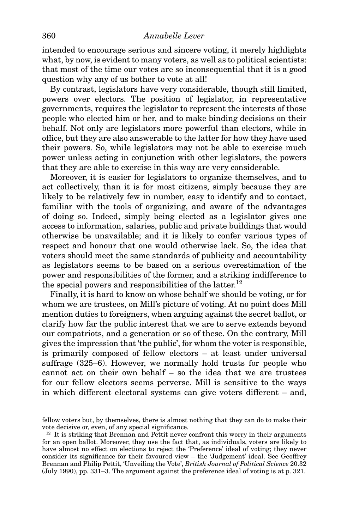intended to encourage serious and sincere voting, it merely highlights what, by now, is evident to many voters, as well as to political scientists: that most of the time our votes are so inconsequential that it is a good question why any of us bother to vote at all!

By contrast, legislators have very considerable, though still limited, powers over electors. The position of legislator, in representative governments, requires the legislator to represent the interests of those people who elected him or her, and to make binding decisions on their behalf. Not only are legislators more powerful than electors, while in office, but they are also answerable to the latter for how they have used their powers. So, while legislators may not be able to exercise much power unless acting in conjunction with other legislators, the powers that they are able to exercise in this way are very considerable.

Moreover, it is easier for legislators to organize themselves, and to act collectively, than it is for most citizens, simply because they are likely to be relatively few in number, easy to identify and to contact, familiar with the tools of organizing, and aware of the advantages of doing so. Indeed, simply being elected as a legislator gives one access to information, salaries, public and private buildings that would otherwise be unavailable; and it is likely to confer various types of respect and honour that one would otherwise lack. So, the idea that voters should meet the same standards of publicity and accountability as legislators seems to be based on a serious overestimation of the power and responsibilities of the former, and a striking indifference to the special powers and responsibilities of the latter.<sup>12</sup>

Finally, it is hard to know on whose behalf we should be voting, or for whom we are trustees, on Mill's picture of voting. At no point does Mill mention duties to foreigners, when arguing against the secret ballot, or clarify how far the public interest that we are to serve extends beyond our compatriots, and a generation or so of these. On the contrary, Mill gives the impression that 'the public', for whom the voter is responsible, is primarily composed of fellow electors – at least under universal suffrage (325–6). However, we normally hold trusts for people who cannot act on their own behalf – so the idea that we are trustees for our fellow electors seems perverse. Mill is sensitive to the ways in which different electoral systems can give voters different – and,

fellow voters but, by themselves, there is almost nothing that they can do to make their vote decisive or, even, of any special significance.

<sup>&</sup>lt;sup>12</sup> It is striking that Brennan and Pettit never confront this worry in their arguments for an open ballot. Moreover, they use the fact that, as individuals, voters are likely to have almost no effect on elections to reject the 'Preference' ideal of voting; they never consider its significance for their favoured view – the 'Judgement' ideal. See Geoffrey Brennan and Philip Pettit, 'Unveiling the Vote', *British Journal of Political Science* 20.32 (July 1990), pp. 331–3. The argument against the preference ideal of voting is at p. 321.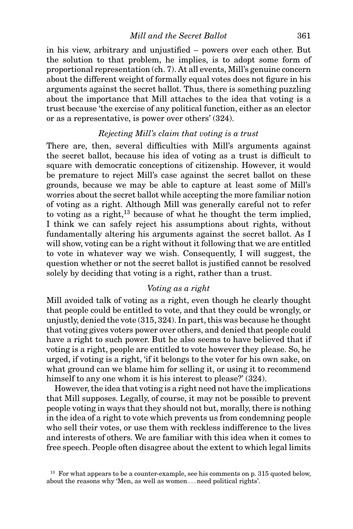*Mill and the Secret Ballot* 361

in his view, arbitrary and unjustified – powers over each other. But the solution to that problem, he implies, is to adopt some form of proportional representation (ch. 7). At all events, Mill's genuine concern about the different weight of formally equal votes does not figure in his arguments against the secret ballot. Thus, there is something puzzling about the importance that Mill attaches to the idea that voting is a trust because 'the exercise of any political function, either as an elector or as a representative, is power over others' (324).

## *Rejecting Mill's claim that voting is a trust*

There are, then, several difficulties with Mill's arguments against the secret ballot, because his idea of voting as a trust is difficult to square with democratic conceptions of citizenship. However, it would be premature to reject Mill's case against the secret ballot on these grounds, because we may be able to capture at least some of Mill's worries about the secret ballot while accepting the more familiar notion of voting as a right. Although Mill was generally careful not to refer to voting as a right,  $^{13}$  because of what he thought the term implied, I think we can safely reject his assumptions about rights, without fundamentally altering his arguments against the secret ballot. As I will show, voting can be a right without it following that we are entitled to vote in whatever way we wish. Consequently, I will suggest, the question whether or not the secret ballot is justified cannot be resolved solely by deciding that voting is a right, rather than a trust.

## *Voting as a right*

Mill avoided talk of voting as a right, even though he clearly thought that people could be entitled to vote, and that they could be wrongly, or unjustly, denied the vote (315, 324). In part, this was because he thought that voting gives voters power over others, and denied that people could have a right to such power. But he also seems to have believed that if voting is a right, people are entitled to vote however they please. So, he urged, if voting is a right, 'if it belongs to the voter for his own sake, on what ground can we blame him for selling it, or using it to recommend himself to any one whom it is his interest to please?' (324).

However, the idea that voting is a right need not have the implications that Mill supposes. Legally, of course, it may not be possible to prevent people voting in ways that they should not but, morally, there is nothing in the idea of a right to vote which prevents us from condemning people who sell their votes, or use them with reckless indifference to the lives and interests of others. We are familiar with this idea when it comes to free speech. People often disagree about the extent to which legal limits

 $13$  For what appears to be a counter-example, see his comments on p. 315 quoted below. about the reasons why 'Men, as well as women *...* need political rights'.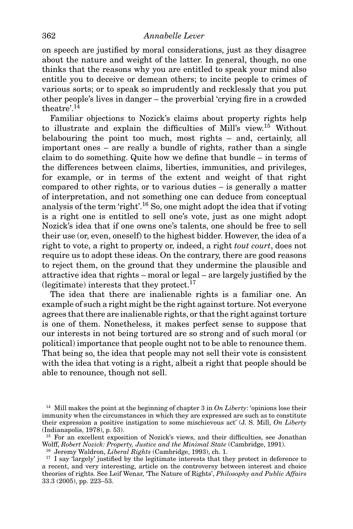#### 362 *Annabelle Lever*

on speech are justified by moral considerations, just as they disagree about the nature and weight of the latter. In general, though, no one thinks that the reasons why you are entitled to speak your mind also entitle you to deceive or demean others; to incite people to crimes of various sorts; or to speak so imprudently and recklessly that you put other people's lives in danger – the proverbial 'crying fire in a crowded theatre'.14

Familiar objections to Nozick's claims about property rights help to illustrate and explain the difficulties of Mill's view.15 Without belabouring the point too much, most rights – and, certainly, all important ones – are really a bundle of rights, rather than a single claim to do something. Quite how we define that bundle – in terms of the differences between claims, liberties, immunities, and privileges, for example, or in terms of the extent and weight of that right compared to other rights, or to various duties – is generally a matter of interpretation, and not something one can deduce from conceptual analysis of the term 'right'.16 So, one might adopt the idea that if voting is a right one is entitled to sell one's vote, just as one might adopt Nozick's idea that if one owns one's talents, one should be free to sell their use (or, even, oneself) to the highest bidder. However, the idea of a right to vote, a right to property or, indeed, a right *tout court*, does not require us to adopt these ideas. On the contrary, there are good reasons to reject them, on the ground that they undermine the plausible and attractive idea that rights – moral or legal – are largely justified by the (legitimate) interests that they protect.<sup>17</sup>

The idea that there are inalienable rights is a familiar one. An example of such a right might be the right against torture. Not everyone agrees that there are inalienable rights, or that the right against torture is one of them. Nonetheless, it makes perfect sense to suppose that our interests in not being tortured are so strong and of such moral (or political) importance that people ought not to be able to renounce them. That being so, the idea that people may not sell their vote is consistent with the idea that voting is a right, albeit a right that people should be able to renounce, though not sell.

<sup>14</sup> Mill makes the point at the beginning of chapter 3 in *On Liberty*: 'opinions lose their immunity when the circumstances in which they are expressed are such as to constitute their expression a positive instigation to some mischievous act' (J. S. Mill, *On Liberty* (Indianapolis, 1978), p. 53).

<sup>&</sup>lt;sup>15</sup> For an excellent exposition of Nozick's views, and their difficulties, see Jonathan Wolff, *Robert Nozick: Property, Justice and the Minimal State* (Cambridge, 1991).

<sup>16</sup> Jeremy Waldron, *Liberal Rights* (Cambridge, 1993), ch. 1.

<sup>&</sup>lt;sup>17</sup> I say 'largely' justified by the legitimate interests that they protect in deference to a recent, and very interesting, article on the controversy between interest and choice theories of rights. See Leif Wenar, 'The Nature of Rights', *Philosophy and Public Affairs* 33.3 (2005), pp. 223–53.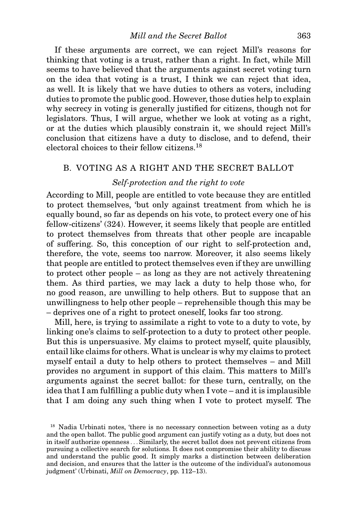If these arguments are correct, we can reject Mill's reasons for thinking that voting is a trust, rather than a right. In fact, while Mill seems to have believed that the arguments against secret voting turn on the idea that voting is a trust, I think we can reject that idea, as well. It is likely that we have duties to others as voters, including duties to promote the public good. However, those duties help to explain why secrecy in voting is generally justified for citizens, though not for legislators. Thus, I will argue, whether we look at voting as a right, or at the duties which plausibly constrain it, we should reject Mill's conclusion that citizens have a duty to disclose, and to defend, their electoral choices to their fellow citizens.18

### B. VOTING AS A RIGHT AND THE SECRET BALLOT

#### *Self-protection and the right to vote*

According to Mill, people are entitled to vote because they are entitled to protect themselves, 'but only against treatment from which he is equally bound, so far as depends on his vote, to protect every one of his fellow-citizens' (324). However, it seems likely that people are entitled to protect themselves from threats that other people are incapable of suffering. So, this conception of our right to self-protection and, therefore, the vote, seems too narrow. Moreover, it also seems likely that people are entitled to protect themselves even if they are unwilling to protect other people – as long as they are not actively threatening them. As third parties, we may lack a duty to help those who, for no good reason, are unwilling to help others. But to suppose that an unwillingness to help other people – reprehensible though this may be – deprives one of a right to protect oneself, looks far too strong.

Mill, here, is trying to assimilate a right to vote to a duty to vote, by linking one's claims to self-protection to a duty to protect other people. But this is unpersuasive. My claims to protect myself, quite plausibly, entail like claims for others. What is unclear is why my claims to protect myself entail a duty to help others to protect themselves – and Mill provides no argument in support of this claim. This matters to Mill's arguments against the secret ballot: for these turn, centrally, on the idea that I am fulfilling a public duty when I vote – and it is implausible that I am doing any such thing when I vote to protect myself. The

<sup>&</sup>lt;sup>18</sup> Nadia Urbinati notes, 'there is no necessary connection between voting as a duty and the open ballot. The public good argument can justify voting as a duty, but does not in itself authorize openness *...* Similarly, the secret ballot does not prevent citizens from pursuing a collective search for solutions. It does not compromise their ability to discuss and understand the public good. It simply marks a distinction between deliberation and decision, and ensures that the latter is the outcome of the individual's autonomous judgment' (Urbinati, *Mill on Democracy*, pp. 112–13).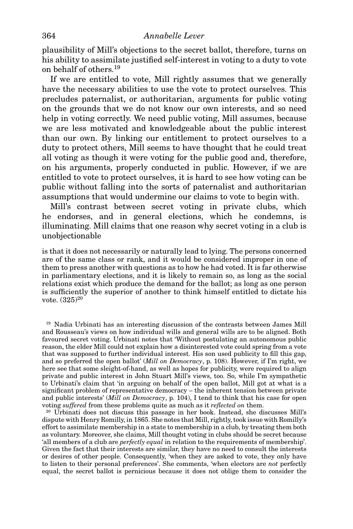plausibility of Mill's objections to the secret ballot, therefore, turns on his ability to assimilate justified self-interest in voting to a duty to vote on behalf of others.<sup>19</sup>

If we are entitled to vote, Mill rightly assumes that we generally have the necessary abilities to use the vote to protect ourselves. This precludes paternalist, or authoritarian, arguments for public voting on the grounds that we do not know our own interests, and so need help in voting correctly. We need public voting, Mill assumes, because we are less motivated and knowledgeable about the public interest than our own. By linking our entitlement to protect ourselves to a duty to protect others, Mill seems to have thought that he could treat all voting as though it were voting for the public good and, therefore, on his arguments, properly conducted in public. However, if we are entitled to vote to protect ourselves, it is hard to see how voting can be public without falling into the sorts of paternalist and authoritarian assumptions that would undermine our claims to vote to begin with.

Mill's contrast between secret voting in private clubs, which he endorses, and in general elections, which he condemns, is illuminating. Mill claims that one reason why secret voting in a club is unobjectionable

is that it does not necessarily or naturally lead to lying. The persons concerned are of the same class or rank, and it would be considered improper in one of them to press another with questions as to how he had voted. It is far otherwise in parliamentary elections, and it is likely to remain so, as long as the social relations exist which produce the demand for the ballot; as long as one person is sufficiently the superior of another to think himself entitled to dictate his vote.  $(325)^{20}$ 

<sup>19</sup> Nadia Urbinati has an interesting discussion of the contrasts between James Mill and Rousseau's views on how individual wills and general wills are to be aligned. Both favoured secret voting. Urbinati notes that 'Without postulating an autonomous public reason, the elder Mill could not explain how a disinterested vote could spring from a vote that was supposed to further individual interest. His son used publicity to fill this gap, and so preferred the open ballot' (*Mill on Democracy*, p. 108). However, if I'm right, we here see that some sleight-of-hand, as well as hopes for publicity, were required to align private and public interest in John Stuart Mill's views, too. So, while I'm sympathetic to Urbinati's claim that 'in arguing on behalf of the open ballot, Mill got at what is a significant problem of representative democracy – the inherent tension between private and public interests' (*Mill on Democracy*, p. 104), I tend to think that his case for open voting *suffered* from these problems quite as much as it *reflected on* them.

<sup>20</sup> Urbinati does not discuss this passage in her book. Instead, she discusses Mill's dispute with Henry Romilly, in 1865. She notes that Mill, rightly, took issue with Romilly's effort to assimilate membership in a state to membership in a club, by treating them both as voluntary. Moreover, she claims, Mill thought voting in clubs should be secret because 'all members of a club are *perfectly equal* in relation to the requirements of membership'. Given the fact that their interests are similar, they have no need to consult the interests or desires of other people. Consequently, 'when they are asked to vote, they only have to listen to their personal preferences'. She comments, 'when electors are *not* perfectly equal, the secret ballot is pernicious because it does not oblige them to consider the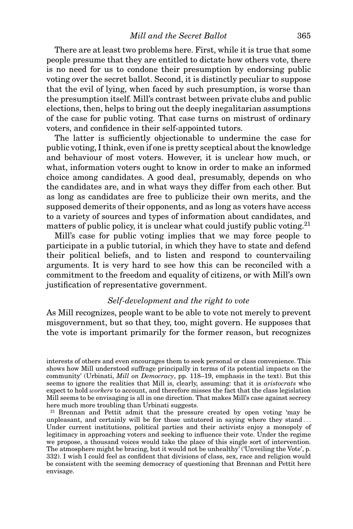There are at least two problems here. First, while it is true that some people presume that they are entitled to dictate how others vote, there is no need for us to condone their presumption by endorsing public voting over the secret ballot. Second, it is distinctly peculiar to suppose that the evil of lying, when faced by such presumption, is worse than the presumption itself. Mill's contrast between private clubs and public elections, then, helps to bring out the deeply inegalitarian assumptions of the case for public voting. That case turns on mistrust of ordinary voters, and confidence in their self-appointed tutors.

The latter is sufficiently objectionable to undermine the case for public voting, I think, even if one is pretty sceptical about the knowledge and behaviour of most voters. However, it is unclear how much, or what, information voters ought to know in order to make an informed choice among candidates. A good deal, presumably, depends on who the candidates are, and in what ways they differ from each other. But as long as candidates are free to publicize their own merits, and the supposed demerits of their opponents, and as long as voters have access to a variety of sources and types of information about candidates, and matters of public policy, it is unclear what could justify public voting.<sup>21</sup>

Mill's case for public voting implies that we may force people to participate in a public tutorial, in which they have to state and defend their political beliefs, and to listen and respond to countervailing arguments. It is very hard to see how this can be reconciled with a commitment to the freedom and equality of citizens, or with Mill's own justification of representative government.

#### *Self-development and the right to vote*

As Mill recognizes, people want to be able to vote not merely to prevent misgovernment, but so that they, too, might govern. He supposes that the vote is important primarily for the former reason, but recognizes

<sup>21</sup> Brennan and Pettit admit that the pressure created by open voting 'may be unpleasant, and certainly will be for those untutored in saying where they stand *...* Under current institutions, political parties and their activists enjoy a monopoly of legitimacy in approaching voters and seeking to influence their vote. Under the regime we propose, a thousand voices would take the place of this single sort of intervention. The atmosphere might be bracing, but it would not be unhealthy' ('Unveiling the Vote', p. 332). I wish I could feel as confident that divisions of class, sex, race and religion would be consistent with the seeming democracy of questioning that Brennan and Pettit here envisage.

interests of others and even encourages them to seek personal or class convenience. This shows how Mill understood suffrage principally in terms of its potential impacts on the community' (Urbinati, *Mill on Democracy*, pp. 118–19, emphasis in the text). But this seems to ignore the realities that Mill is, clearly, assuming: that it is *aristocrats* who expect to hold *workers* to account, and therefore misses the fact that the class legislation Mill seems to be envisaging is all in one direction. That makes Mill's case against secrecy here much more troubling than Urbinati suggests.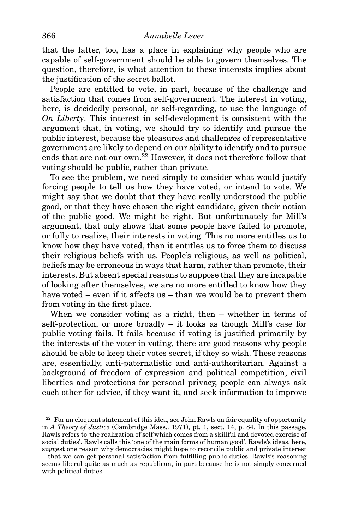that the latter, too, has a place in explaining why people who are capable of self-government should be able to govern themselves. The question, therefore, is what attention to these interests implies about the justification of the secret ballot.

People are entitled to vote, in part, because of the challenge and satisfaction that comes from self-government. The interest in voting, here, is decidedly personal, or self-regarding, to use the language of *On Liberty*. This interest in self-development is consistent with the argument that, in voting, we should try to identify and pursue the public interest, because the pleasures and challenges of representative government are likely to depend on our ability to identify and to pursue ends that are not our own.<sup>22</sup> However, it does not therefore follow that voting should be public, rather than private.

To see the problem, we need simply to consider what would justify forcing people to tell us how they have voted, or intend to vote. We might say that we doubt that they have really understood the public good, or that they have chosen the right candidate, given their notion of the public good. We might be right. But unfortunately for Mill's argument, that only shows that some people have failed to promote, or fully to realize, their interests in voting. This no more entitles us to know how they have voted, than it entitles us to force them to discuss their religious beliefs with us. People's religious, as well as political, beliefs may be erroneous in ways that harm, rather than promote, their interests. But absent special reasons to suppose that they are incapable of looking after themselves, we are no more entitled to know how they have voted – even if it affects us – than we would be to prevent them from voting in the first place.

When we consider voting as a right, then – whether in terms of self-protection, or more broadly – it looks as though Mill's case for public voting fails. It fails because if voting is justified primarily by the interests of the voter in voting, there are good reasons why people should be able to keep their votes secret, if they so wish. These reasons are, essentially, anti-paternalistic and anti-authoritarian. Against a background of freedom of expression and political competition, civil liberties and protections for personal privacy, people can always ask each other for advice, if they want it, and seek information to improve

<sup>&</sup>lt;sup>22</sup> For an eloquent statement of this idea, see John Rawls on fair equality of opportunity in *A Theory of Justice* (Cambridge Mass.. 1971), pt. 1, sect. 14, p. 84. In this passage, Rawls refers to 'the realization of self which comes from a skillful and devoted exercise of social duties'. Rawls calls this 'one of the main forms of human good'. Rawls's ideas, here, suggest one reason why democracies might hope to reconcile public and private interest – that we can get personal satisfaction from fulfilling public duties. Rawls's reasoning seems liberal quite as much as republican, in part because he is not simply concerned with political duties.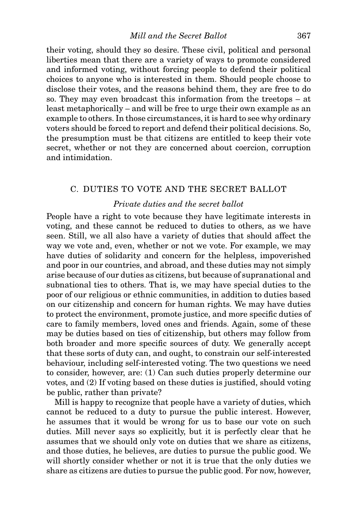their voting, should they so desire. These civil, political and personal liberties mean that there are a variety of ways to promote considered and informed voting, without forcing people to defend their political choices to anyone who is interested in them. Should people choose to disclose their votes, and the reasons behind them, they are free to do so. They may even broadcast this information from the treetops – at least metaphorically – and will be free to urge their own example as an example to others. In those circumstances, it is hard to see why ordinary voters should be forced to report and defend their political decisions. So, the presumption must be that citizens are entitled to keep their vote secret, whether or not they are concerned about coercion, corruption and intimidation.

#### C. DUTIES TO VOTE AND THE SECRET BALLOT

## *Private duties and the secret ballot*

People have a right to vote because they have legitimate interests in voting, and these cannot be reduced to duties to others, as we have seen. Still, we all also have a variety of duties that should affect the way we vote and, even, whether or not we vote. For example, we may have duties of solidarity and concern for the helpless, impoverished and poor in our countries, and abroad, and these duties may not simply arise because of our duties as citizens, but because of supranational and subnational ties to others. That is, we may have special duties to the poor of our religious or ethnic communities, in addition to duties based on our citizenship and concern for human rights. We may have duties to protect the environment, promote justice, and more specific duties of care to family members, loved ones and friends. Again, some of these may be duties based on ties of citizenship, but others may follow from both broader and more specific sources of duty. We generally accept that these sorts of duty can, and ought, to constrain our self-interested behaviour, including self-interested voting. The two questions we need to consider, however, are: (1) Can such duties properly determine our votes, and (2) If voting based on these duties is justified, should voting be public, rather than private?

Mill is happy to recognize that people have a variety of duties, which cannot be reduced to a duty to pursue the public interest. However, he assumes that it would be wrong for us to base our vote on such duties. Mill never says so explicitly, but it is perfectly clear that he assumes that we should only vote on duties that we share as citizens, and those duties, he believes, are duties to pursue the public good. We will shortly consider whether or not it is true that the only duties we share as citizens are duties to pursue the public good. For now, however,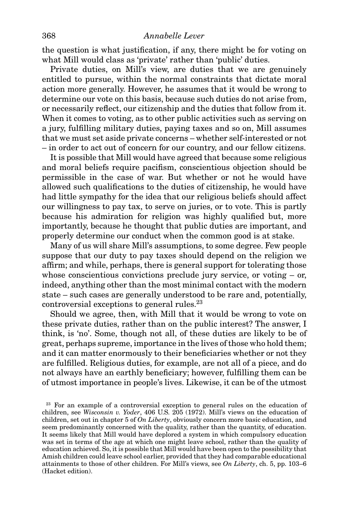the question is what justification, if any, there might be for voting on what Mill would class as 'private' rather than 'public' duties.

Private duties, on Mill's view, are duties that we are genuinely entitled to pursue, within the normal constraints that dictate moral action more generally. However, he assumes that it would be wrong to determine our vote on this basis, because such duties do not arise from, or necessarily reflect, our citizenship and the duties that follow from it. When it comes to voting, as to other public activities such as serving on a jury, fulfilling military duties, paying taxes and so on, Mill assumes that we must set aside private concerns – whether self-interested or not – in order to act out of concern for our country, and our fellow citizens.

It is possible that Mill would have agreed that because some religious and moral beliefs require pacifism, conscientious objection should be permissible in the case of war. But whether or not he would have allowed such qualifications to the duties of citizenship, he would have had little sympathy for the idea that our religious beliefs should affect our willingness to pay tax, to serve on juries, or to vote. This is partly because his admiration for religion was highly qualified but, more importantly, because he thought that public duties are important, and properly determine our conduct when the common good is at stake.

Many of us will share Mill's assumptions, to some degree. Few people suppose that our duty to pay taxes should depend on the religion we affirm; and while, perhaps, there is general support for tolerating those whose conscientious convictions preclude jury service, or voting – or, indeed, anything other than the most minimal contact with the modern state – such cases are generally understood to be rare and, potentially, controversial exceptions to general rules.<sup>23</sup>

Should we agree, then, with Mill that it would be wrong to vote on these private duties, rather than on the public interest? The answer, I think, is 'no'. Some, though not all, of these duties are likely to be of great, perhaps supreme, importance in the lives of those who hold them; and it can matter enormously to their beneficiaries whether or not they are fulfilled. Religious duties, for example, are not all of a piece, and do not always have an earthly beneficiary; however, fulfilling them can be of utmost importance in people's lives. Likewise, it can be of the utmost

<sup>&</sup>lt;sup>23</sup> For an example of a controversial exception to general rules on the education of children, see *Wisconsin v. Yoder*, 406 U.S. 205 (1972). Mill's views on the education of children, set out in chapter 5 of *On Liberty*, obviously concern more basic education, and seem predominantly concerned with the quality, rather than the quantity, of education. It seems likely that Mill would have deplored a system in which compulsory education was set in terms of the age at which one might leave school, rather than the quality of education achieved. So, it is possible that Mill would have been open to the possibility that Amish children could leave school earlier, provided that they had comparable educational attainments to those of other children. For Mill's views, see *On Liberty*, ch. 5, pp. 103–6 (Hacket edition).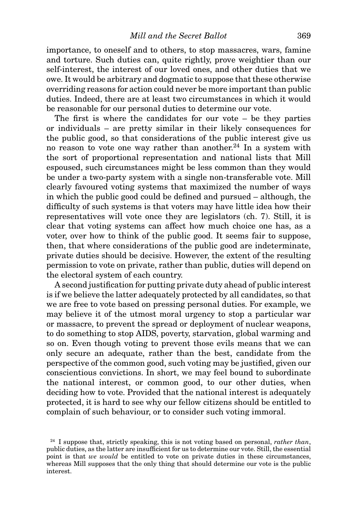importance, to oneself and to others, to stop massacres, wars, famine and torture. Such duties can, quite rightly, prove weightier than our self-interest, the interest of our loved ones, and other duties that we owe. It would be arbitrary and dogmatic to suppose that these otherwise overriding reasons for action could never be more important than public duties. Indeed, there are at least two circumstances in which it would be reasonable for our personal duties to determine our vote.

The first is where the candidates for our vote – be they parties or individuals – are pretty similar in their likely consequences for the public good, so that considerations of the public interest give us no reason to vote one way rather than another.<sup>24</sup> In a system with the sort of proportional representation and national lists that Mill espoused, such circumstances might be less common than they would be under a two-party system with a single non-transferable vote. Mill clearly favoured voting systems that maximized the number of ways in which the public good could be defined and pursued – although, the difficulty of such systems is that voters may have little idea how their representatives will vote once they are legislators (ch. 7). Still, it is clear that voting systems can affect how much choice one has, as a voter, over how to think of the public good. It seems fair to suppose, then, that where considerations of the public good are indeterminate, private duties should be decisive. However, the extent of the resulting permission to vote on private, rather than public, duties will depend on the electoral system of each country.

A second justification for putting private duty ahead of public interest is if we believe the latter adequately protected by all candidates, so that we are free to vote based on pressing personal duties. For example, we may believe it of the utmost moral urgency to stop a particular war or massacre, to prevent the spread or deployment of nuclear weapons, to do something to stop AIDS, poverty, starvation, global warming and so on. Even though voting to prevent those evils means that we can only secure an adequate, rather than the best, candidate from the perspective of the common good, such voting may be justified, given our conscientious convictions. In short, we may feel bound to subordinate the national interest, or common good, to our other duties, when deciding how to vote. Provided that the national interest is adequately protected, it is hard to see why our fellow citizens should be entitled to complain of such behaviour, or to consider such voting immoral.

<sup>24</sup> I suppose that, strictly speaking, this is not voting based on personal, *rather than*, public duties, as the latter are insufficient for us to determine our vote. Still, the essential point is that *we would* be entitled to vote on private duties in these circumstances, whereas Mill supposes that the only thing that should determine our vote is the public interest.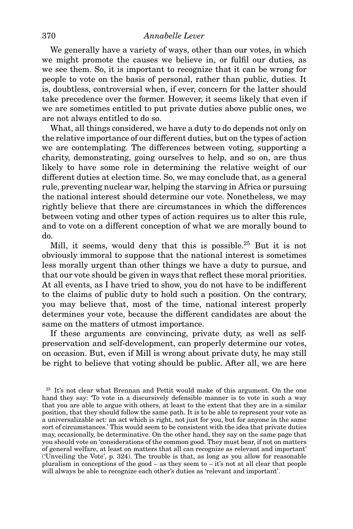We generally have a variety of ways, other than our votes, in which we might promote the causes we believe in, or fulfil our duties, as we see them. So, it is important to recognize that it can be wrong for people to vote on the basis of personal, rather than public, duties. It is, doubtless, controversial when, if ever, concern for the latter should take precedence over the former. However, it seems likely that even if we are sometimes entitled to put private duties above public ones, we are not always entitled to do so.

What, all things considered, we have a duty to do depends not only on the relative importance of our different duties, but on the types of action we are contemplating. The differences between voting, supporting a charity, demonstrating, going ourselves to help, and so on, are thus likely to have some role in determining the relative weight of our different duties at election time. So, we may conclude that, as a general rule, preventing nuclear war, helping the starving in Africa or pursuing the national interest should determine our vote. Nonetheless, we may rightly believe that there are circumstances in which the differences between voting and other types of action requires us to alter this rule, and to vote on a different conception of what we are morally bound to do.

Mill, it seems, would deny that this is possible.25 But it is not obviously immoral to suppose that the national interest is sometimes less morally urgent than other things we have a duty to pursue, and that our vote should be given in ways that reflect these moral priorities. At all events, as I have tried to show, you do not have to be indifferent to the claims of public duty to hold such a position. On the contrary, you may believe that, most of the time, national interest properly determines your vote, because the different candidates are about the same on the matters of utmost importance.

If these arguments are convincing, private duty, as well as selfpreservation and self-development, can properly determine our votes, on occasion. But, even if Mill is wrong about private duty, he may still be right to believe that voting should be public. After all, we are here

<sup>25</sup> It's not clear what Brennan and Pettit would make of this argument. On the one hand they say: 'To vote in a discursively defensible manner is to vote in such a way that you are able to argue with others, at least to the extent that they are in a similar position, that they should follow the same path. It is to be able to represent your vote as a universalizable act: an act which is right, not just for you, but for anyone in the same sort of circumstances.' This would seem to be consistent with the idea that private duties may, occasionally, be determinative. On the other hand, they say on the same page that you should vote on 'considerations of the common good. They must bear, if not on matters of general welfare, at least on matters that all can recognize as relevant and important' ('Unveiling the Vote', p. 324). The trouble is that, as long as you allow for reasonable pluralism in conceptions of the good – as they seem to – it's not at all clear that people will always be able to recognize each other's duties as 'relevant and important'.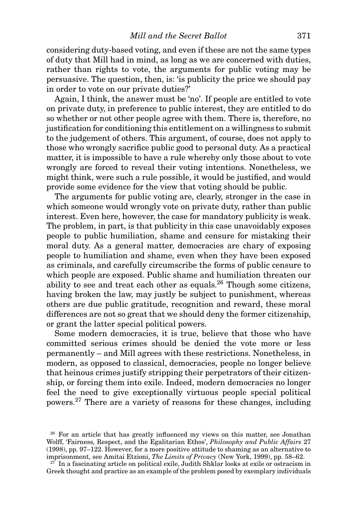considering duty-based voting, and even if these are not the same types of duty that Mill had in mind, as long as we are concerned with duties, rather than rights to vote, the arguments for public voting may be persuasive. The question, then, is: 'is publicity the price we should pay in order to vote on our private duties?'

Again, I think, the answer must be 'no'. If people are entitled to vote on private duty, in preference to public interest, they are entitled to do so whether or not other people agree with them. There is, therefore, no justification for conditioning this entitlement on a willingness to submit to the judgement of others. This argument, of course, does not apply to those who wrongly sacrifice public good to personal duty. As a practical matter, it is impossible to have a rule whereby only those about to vote wrongly are forced to reveal their voting intentions. Nonetheless, we might think, were such a rule possible, it would be justified, and would provide some evidence for the view that voting should be public.

The arguments for public voting are, clearly, stronger in the case in which someone would wrongly vote on private duty, rather than public interest. Even here, however, the case for mandatory publicity is weak. The problem, in part, is that publicity in this case unavoidably exposes people to public humiliation, shame and censure for mistaking their moral duty. As a general matter, democracies are chary of exposing people to humiliation and shame, even when they have been exposed as criminals, and carefully circumscribe the forms of public censure to which people are exposed. Public shame and humiliation threaten our ability to see and treat each other as equals.<sup>26</sup> Though some citizens, having broken the law, may justly be subject to punishment, whereas others are due public gratitude, recognition and reward, these moral differences are not so great that we should deny the former citizenship, or grant the latter special political powers.

Some modern democracies, it is true, believe that those who have committed serious crimes should be denied the vote more or less permanently – and Mill agrees with these restrictions. Nonetheless, in modern, as opposed to classical, democracies, people no longer believe that heinous crimes justify stripping their perpetrators of their citizenship, or forcing them into exile. Indeed, modern democracies no longer feel the need to give exceptionally virtuous people special political powers.<sup>27</sup> There are a variety of reasons for these changes, including

<sup>&</sup>lt;sup>26</sup> For an article that has greatly influenced my views on this matter, see Jonathan Wolff, 'Fairness, Respect, and the Egalitarian Ethos', *Philosophy and Public Affairs* 27 (1998), pp. 97–122. However, for a more positive attitude to shaming as an alternative to imprisonment, see Amitai Etzioni, *The Limits of Privacy* (New York, 1999), pp. 58–62.

 $2^{27}$  In a fascinating article on political exile, Judith Shklar looks at exile or ostracism in Greek thought and practice as an example of the problem posed by exemplary individuals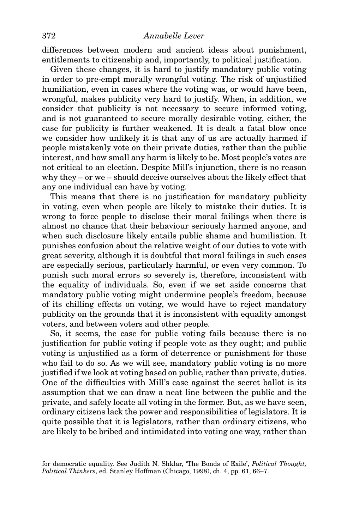differences between modern and ancient ideas about punishment, entitlements to citizenship and, importantly, to political justification.

Given these changes, it is hard to justify mandatory public voting in order to pre-empt morally wrongful voting. The risk of unjustified humiliation, even in cases where the voting was, or would have been, wrongful, makes publicity very hard to justify. When, in addition, we consider that publicity is not necessary to secure informed voting, and is not guaranteed to secure morally desirable voting, either, the case for publicity is further weakened. It is dealt a fatal blow once we consider how unlikely it is that any of us are actually harmed if people mistakenly vote on their private duties, rather than the public interest, and how small any harm is likely to be. Most people's votes are not critical to an election. Despite Mill's injunction, there is no reason why they – or we – should deceive ourselves about the likely effect that any one individual can have by voting.

This means that there is no justification for mandatory publicity in voting, even when people are likely to mistake their duties. It is wrong to force people to disclose their moral failings when there is almost no chance that their behaviour seriously harmed anyone, and when such disclosure likely entails public shame and humiliation. It punishes confusion about the relative weight of our duties to vote with great severity, although it is doubtful that moral failings in such cases are especially serious, particularly harmful, or even very common. To punish such moral errors so severely is, therefore, inconsistent with the equality of individuals. So, even if we set aside concerns that mandatory public voting might undermine people's freedom, because of its chilling effects on voting, we would have to reject mandatory publicity on the grounds that it is inconsistent with equality amongst voters, and between voters and other people.

So, it seems, the case for public voting fails because there is no justification for public voting if people vote as they ought; and public voting is unjustified as a form of deterrence or punishment for those who fail to do so. As we will see, mandatory public voting is no more justified if we look at voting based on public, rather than private, duties. One of the difficulties with Mill's case against the secret ballot is its assumption that we can draw a neat line between the public and the private, and safely locate all voting in the former. But, as we have seen, ordinary citizens lack the power and responsibilities of legislators. It is quite possible that it is legislators, rather than ordinary citizens, who are likely to be bribed and intimidated into voting one way, rather than

for democratic equality. See Judith N. Shklar, 'The Bonds of Exile', *Political Thought, Political Thinkers*, ed. Stanley Hoffman (Chicago, 1998), ch. 4, pp. 61, 66–7.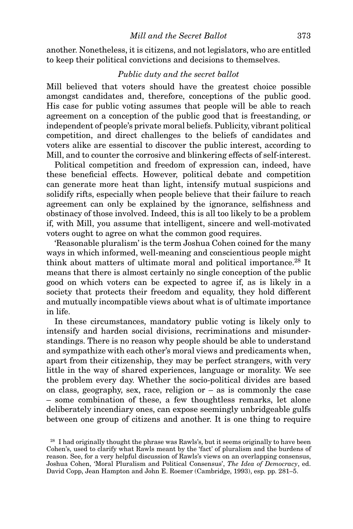another. Nonetheless, it is citizens, and not legislators, who are entitled to keep their political convictions and decisions to themselves.

#### *Public duty and the secret ballot*

Mill believed that voters should have the greatest choice possible amongst candidates and, therefore, conceptions of the public good. His case for public voting assumes that people will be able to reach agreement on a conception of the public good that is freestanding, or independent of people's private moral beliefs. Publicity, vibrant political competition, and direct challenges to the beliefs of candidates and voters alike are essential to discover the public interest, according to Mill, and to counter the corrosive and blinkering effects of self-interest.

Political competition and freedom of expression can, indeed, have these beneficial effects. However, political debate and competition can generate more heat than light, intensify mutual suspicions and solidify rifts, especially when people believe that their failure to reach agreement can only be explained by the ignorance, selfishness and obstinacy of those involved. Indeed, this is all too likely to be a problem if, with Mill, you assume that intelligent, sincere and well-motivated voters ought to agree on what the common good requires.

'Reasonable pluralism' is the term Joshua Cohen coined for the many ways in which informed, well-meaning and conscientious people might think about matters of ultimate moral and political importance.28 It means that there is almost certainly no single conception of the public good on which voters can be expected to agree if, as is likely in a society that protects their freedom and equality, they hold different and mutually incompatible views about what is of ultimate importance in life.

In these circumstances, mandatory public voting is likely only to intensify and harden social divisions, recriminations and misunderstandings. There is no reason why people should be able to understand and sympathize with each other's moral views and predicaments when, apart from their citizenship, they may be perfect strangers, with very little in the way of shared experiences, language or morality. We see the problem every day. Whether the socio-political divides are based on class, geography, sex, race, religion or – as is commonly the case – some combination of these, a few thoughtless remarks, let alone deliberately incendiary ones, can expose seemingly unbridgeable gulfs between one group of citizens and another. It is one thing to require

<sup>&</sup>lt;sup>28</sup> I had originally thought the phrase was Rawls's, but it seems originally to have been Cohen's, used to clarify what Rawls meant by the 'fact' of pluralism and the burdens of reason. See, for a very helpful discussion of Rawls's views on an overlapping consensus, Joshua Cohen, 'Moral Pluralism and Political Consensus', *The Idea of Democracy*, ed. David Copp, Jean Hampton and John E. Roemer (Cambridge, 1993), esp. pp. 281–5.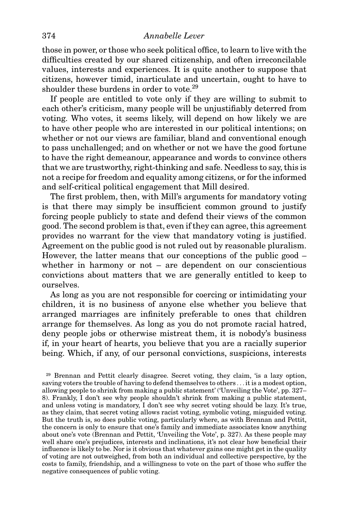## 374 *Annabelle Lever*

those in power, or those who seek political office, to learn to live with the difficulties created by our shared citizenship, and often irreconcilable values, interests and experiences. It is quite another to suppose that citizens, however timid, inarticulate and uncertain, ought to have to shoulder these burdens in order to vote.29

If people are entitled to vote only if they are willing to submit to each other's criticism, many people will be unjustifiably deterred from voting. Who votes, it seems likely, will depend on how likely we are to have other people who are interested in our political intentions; on whether or not our views are familiar, bland and conventional enough to pass unchallenged; and on whether or not we have the good fortune to have the right demeanour, appearance and words to convince others that we are trustworthy, right-thinking and safe. Needless to say, this is not a recipe for freedom and equality among citizens, or for the informed and self-critical political engagement that Mill desired.

The first problem, then, with Mill's arguments for mandatory voting is that there may simply be insufficient common ground to justify forcing people publicly to state and defend their views of the common good. The second problem is that, even if they can agree, this agreement provides no warrant for the view that mandatory voting is justified. Agreement on the public good is not ruled out by reasonable pluralism. However, the latter means that our conceptions of the public good – whether in harmony or not – are dependent on our conscientious convictions about matters that we are generally entitled to keep to ourselves.

As long as you are not responsible for coercing or intimidating your children, it is no business of anyone else whether you believe that arranged marriages are infinitely preferable to ones that children arrange for themselves. As long as you do not promote racial hatred, deny people jobs or otherwise mistreat them, it is nobody's business if, in your heart of hearts, you believe that you are a racially superior being. Which, if any, of our personal convictions, suspicions, interests

<sup>29</sup> Brennan and Pettit clearly disagree. Secret voting, they claim, 'is a lazy option, saving voters the trouble of having to defend themselves to others *...* it is a modest option, allowing people to shrink from making a public statement' ('Unveiling the Vote', pp. 327– 8). Frankly, I don't see why people shouldn't shrink from making a public statement, and unless voting is mandatory, I don't see why secret voting should be lazy. It's true, as they claim, that secret voting allows racist voting, symbolic voting, misguided voting. But the truth is, so does public voting, particularly where, as with Brennan and Pettit, the concern is only to ensure that one's family and immediate associates know anything about one's vote (Brennan and Pettit, 'Unveiling the Vote', p. 327). As these people may well share one's prejudices, interests and inclinations, it's not clear how beneficial their influence is likely to be. Nor is it obvious that whatever gains one might get in the quality of voting are not outweighed, from both an individual and collective perspective, by the costs to family, friendship, and a willingness to vote on the part of those who suffer the negative consequences of public voting.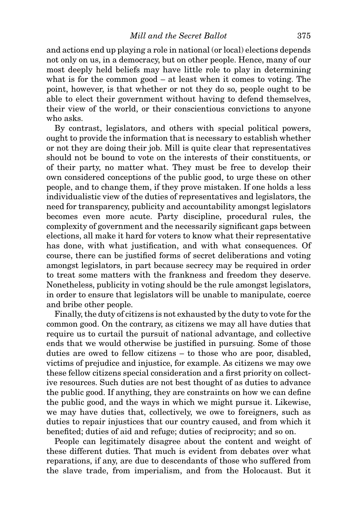and actions end up playing a role in national (or local) elections depends not only on us, in a democracy, but on other people. Hence, many of our most deeply held beliefs may have little role to play in determining what is for the common good – at least when it comes to voting. The point, however, is that whether or not they do so, people ought to be able to elect their government without having to defend themselves, their view of the world, or their conscientious convictions to anyone who asks.

By contrast, legislators, and others with special political powers, ought to provide the information that is necessary to establish whether or not they are doing their job. Mill is quite clear that representatives should not be bound to vote on the interests of their constituents, or of their party, no matter what. They must be free to develop their own considered conceptions of the public good, to urge these on other people, and to change them, if they prove mistaken. If one holds a less individualistic view of the duties of representatives and legislators, the need for transparency, publicity and accountability amongst legislators becomes even more acute. Party discipline, procedural rules, the complexity of government and the necessarily significant gaps between elections, all make it hard for voters to know what their representative has done, with what justification, and with what consequences. Of course, there can be justified forms of secret deliberations and voting amongst legislators, in part because secrecy may be required in order to treat some matters with the frankness and freedom they deserve. Nonetheless, publicity in voting should be the rule amongst legislators, in order to ensure that legislators will be unable to manipulate, coerce and bribe other people.

Finally, the duty of citizens is not exhausted by the duty to vote for the common good. On the contrary, as citizens we may all have duties that require us to curtail the pursuit of national advantage, and collective ends that we would otherwise be justified in pursuing. Some of those duties are owed to fellow citizens – to those who are poor, disabled, victims of prejudice and injustice, for example. As citizens we may owe these fellow citizens special consideration and a first priority on collective resources. Such duties are not best thought of as duties to advance the public good. If anything, they are constraints on how we can define the public good, and the ways in which we might pursue it. Likewise, we may have duties that, collectively, we owe to foreigners, such as duties to repair injustices that our country caused, and from which it benefited; duties of aid and refuge; duties of reciprocity; and so on.

People can legitimately disagree about the content and weight of these different duties. That much is evident from debates over what reparations, if any, are due to descendants of those who suffered from the slave trade, from imperialism, and from the Holocaust. But it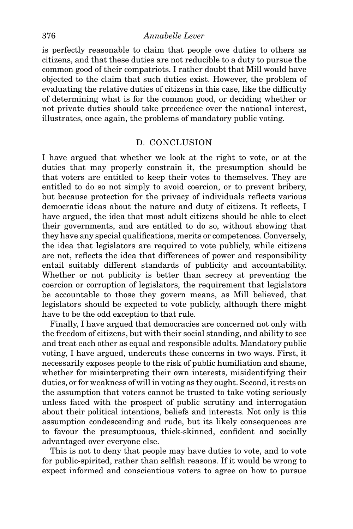#### 376 *Annabelle Lever*

is perfectly reasonable to claim that people owe duties to others as citizens, and that these duties are not reducible to a duty to pursue the common good of their compatriots. I rather doubt that Mill would have objected to the claim that such duties exist. However, the problem of evaluating the relative duties of citizens in this case, like the difficulty of determining what is for the common good, or deciding whether or not private duties should take precedence over the national interest, illustrates, once again, the problems of mandatory public voting.

### D. CONCLUSION

I have argued that whether we look at the right to vote, or at the duties that may properly constrain it, the presumption should be that voters are entitled to keep their votes to themselves. They are entitled to do so not simply to avoid coercion, or to prevent bribery, but because protection for the privacy of individuals reflects various democratic ideas about the nature and duty of citizens. It reflects, I have argued, the idea that most adult citizens should be able to elect their governments, and are entitled to do so, without showing that they have any special qualifications, merits or competences. Conversely, the idea that legislators are required to vote publicly, while citizens are not, reflects the idea that differences of power and responsibility entail suitably different standards of publicity and accountability. Whether or not publicity is better than secrecy at preventing the coercion or corruption of legislators, the requirement that legislators be accountable to those they govern means, as Mill believed, that legislators should be expected to vote publicly, although there might have to be the odd exception to that rule.

Finally, I have argued that democracies are concerned not only with the freedom of citizens, but with their social standing, and ability to see and treat each other as equal and responsible adults. Mandatory public voting, I have argued, undercuts these concerns in two ways. First, it necessarily exposes people to the risk of public humiliation and shame, whether for misinterpreting their own interests, misidentifying their duties, or for weakness of will in voting as they ought. Second, it rests on the assumption that voters cannot be trusted to take voting seriously unless faced with the prospect of public scrutiny and interrogation about their political intentions, beliefs and interests. Not only is this assumption condescending and rude, but its likely consequences are to favour the presumptuous, thick-skinned, confident and socially advantaged over everyone else.

This is not to deny that people may have duties to vote, and to vote for public-spirited, rather than selfish reasons. If it would be wrong to expect informed and conscientious voters to agree on how to pursue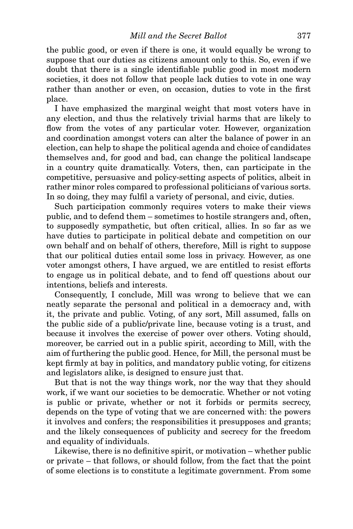the public good, or even if there is one, it would equally be wrong to suppose that our duties as citizens amount only to this. So, even if we doubt that there is a single identifiable public good in most modern societies, it does not follow that people lack duties to vote in one way rather than another or even, on occasion, duties to vote in the first place.

I have emphasized the marginal weight that most voters have in any election, and thus the relatively trivial harms that are likely to flow from the votes of any particular voter. However, organization and coordination amongst voters can alter the balance of power in an election, can help to shape the political agenda and choice of candidates themselves and, for good and bad, can change the political landscape in a country quite dramatically. Voters, then, can participate in the competitive, persuasive and policy-setting aspects of politics, albeit in rather minor roles compared to professional politicians of various sorts. In so doing, they may fulfil a variety of personal, and civic, duties.

Such participation commonly requires voters to make their views public, and to defend them – sometimes to hostile strangers and, often, to supposedly sympathetic, but often critical, allies. In so far as we have duties to participate in political debate and competition on our own behalf and on behalf of others, therefore, Mill is right to suppose that our political duties entail some loss in privacy. However, as one voter amongst others, I have argued, we are entitled to resist efforts to engage us in political debate, and to fend off questions about our intentions, beliefs and interests.

Consequently, I conclude, Mill was wrong to believe that we can neatly separate the personal and political in a democracy and, with it, the private and public. Voting, of any sort, Mill assumed, falls on the public side of a public/private line, because voting is a trust, and because it involves the exercise of power over others. Voting should, moreover, be carried out in a public spirit, according to Mill, with the aim of furthering the public good. Hence, for Mill, the personal must be kept firmly at bay in politics, and mandatory public voting, for citizens and legislators alike, is designed to ensure just that.

But that is not the way things work, nor the way that they should work, if we want our societies to be democratic. Whether or not voting is public or private, whether or not it forbids or permits secrecy, depends on the type of voting that we are concerned with: the powers it involves and confers; the responsibilities it presupposes and grants; and the likely consequences of publicity and secrecy for the freedom and equality of individuals.

Likewise, there is no definitive spirit, or motivation – whether public or private – that follows, or should follow, from the fact that the point of some elections is to constitute a legitimate government. From some